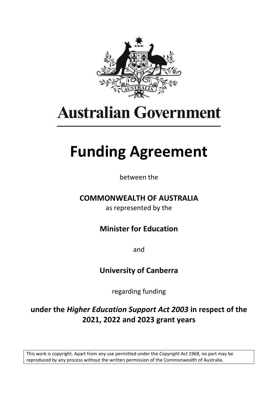

# **Australian Government**

# **Funding Agreement**

between the

# **COMMONWEALTH OF AUSTRALIA**

as represented by the

**Minister for Education** 

and

# **University of Canberra**

regarding funding

**under the** *Higher Education Support Act 2003* **in respect of the 2021, 2022 and 2023 grant years**

This work is copyright. Apart from any use permitted under the *Copyright Act 1968*, no part may be reproduced by any process without the written permission of the Commonwealth of Australia.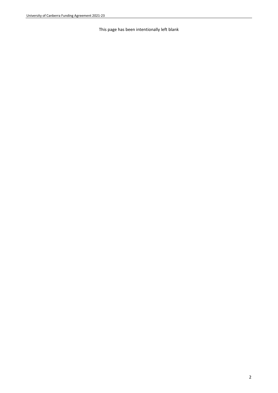This page has been intentionally left blank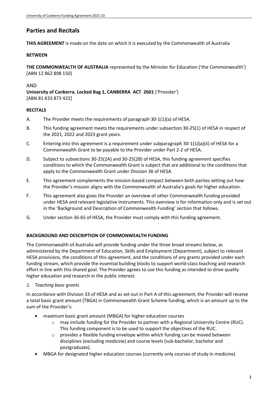# **Parties and Recitals**

**THIS AGREEMENT** is made on the date on which it is executed by the Commonwealth of Australia

# **BETWEEN**

**THE COMMONWEALTH OF AUSTRALIA** represented by the Minister for Education ('the Commonwealth') [ABN 12 862 898 150]

# AND

**University of Canberra**, **Locked Bag 1, CANBERRA ACT 2601** ('Provider') [ABN 81 633 873 422]

# **RECITALS**

- A. The Provider meets the requirements of paragraph 30-1(1)(a) of HESA.
- B. This funding agreement meets the requirements under subsection 30-25(1) of HESA in respect of the 2021, 2022 and 2023 grant years.
- C. Entering into this agreement is a requirement under subparagraph 30-1(1)(a)(ii) of HESA for a Commonwealth Grant to be payable to the Provider under Part 2-2 of HESA.
- D. Subject to subsections 30-25(2A) and 30-25(2B) of HESA, this funding agreement specifies conditions to which the Commonwealth Grant is subject that are additional to the conditions that apply to the Commonwealth Grant under Division 36 of HESA.
- E. This agreement complements the mission-based compact between both parties setting out how the Provider's mission aligns with the Commonwealth of Australia's goals for higher education.
- F. This agreement also gives the Provider an overview of other Commonwealth funding provided under HESA and relevant legislative instruments. This overview is for information only and is set out in the 'Background and Description of Commonwealth Funding' section that follows.
- G. Under section 36-65 of HESA, the Provider must comply with this funding agreement.

# **BACKGROUND AND DESCRIPTION OF COMMONWEALTH FUNDING**

The Commonwealth of Australia will provide funding under the three broad streams below, as administered by the Department of Education, Skills and Employment (Department), subject to relevant HESA provisions, the conditions of this agreement, and the conditions of any grants provided under each funding stream, which provide the essential building blocks to support world-class teaching and research effort in line with this shared goal. The Provider agrees to use this funding as intended to drive quality higher education and research in the public interest.

### *1. Teaching base grants*

In accordance with Division 33 of HESA and as set out in Part A of this agreement, the Provider will receive a total basic grant amount (TBGA) in Commonwealth Grant Scheme funding, which is an amount up to the sum of the Provider's:

- maximum basic grant amount (MBGA) for higher education courses
	- o may include funding for the Provider to partner with a Regional University Centre (RUC). This funding component is to be used to support the objectives of the RUC.
	- $\circ$  provides a flexible funding envelope within which funding can be moved between disciplines (excluding medicine) and course levels (sub-bachelor, bachelor and postgraduate).
- MBGA for designated higher education courses (currently only courses of study in medicine)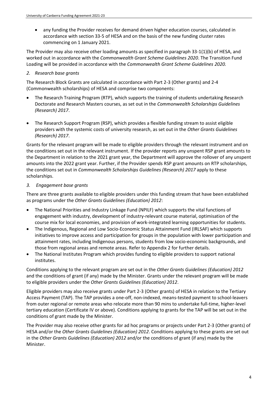• any funding the Provider receives for demand driven higher education courses, calculated in accordance with section 33-5 of HESA and on the basis of the new funding cluster rates commencing on 1 January 2021.

The Provider may also receive other loading amounts as specified in paragraph 33-1(1)(b) of HESA, and worked out in accordance with the *Commonwealth Grant Scheme Guidelines 2020*. The Transition Fund Loading will be provided in accordance with the *Commonwealth Grant Scheme Guidelines 2020.*

*2. Research base grants*

The Research Block Grants are calculated in accordance with Part 2-3 (Other grants) and 2-4 (Commonwealth scholarships) of HESA and comprise two components:

- The Research Training Program (RTP), which supports the training of students undertaking Research Doctorate and Research Masters courses, as set out in the *Commonwealth Scholarships Guidelines (Research) 2017*.
- The Research Support Program (RSP), which provides a flexible funding stream to assist eligible providers with the systemic costs of university research, as set out in the *Other Grants Guidelines (Research) 2017*.

Grants for the relevant program will be made to eligible providers through the relevant instrument and on the conditions set out in the relevant instrument. If the provider reports any unspent RSP grant amounts to the Department in relation to the 2021 grant year, the Department will approve the rollover of any unspent amounts into the 2022 grant year. Further, if the Provider spends RSP grant amounts on RTP scholarships, the conditions set out in *Commonwealth Scholarships Guidelines (Research) 2017* apply to these scholarships.

# *3. Engagement base grants*

There are three grants available to eligible providers under this funding stream that have been established as programs under the *Other Grants Guidelines (Education) 2012*:

- The National Priorities and Industry Linkage Fund (NPILF) which supports the vital functions of engagement with industry, development of industry-relevant course material, optimisation of the course mix for local economies, and provision of work-integrated learning opportunities for students.
- The Indigenous, Regional and Low Socio-Economic Status Attainment Fund (IRLSAF) which supports initiatives to improve access and participation for groups in the population with lower participation and attainment rates, including Indigenous persons, students from low socio-economic backgrounds, and those from regional areas and remote areas. Refer to Appendix 2 for further details.
- The National Institutes Program which provides funding to eligible providers to support national institutes.

Conditions applying to the relevant program are set out in the *Other Grants Guidelines (Education) 2012* and the conditions of grant (if any) made by the Minister. Grants under the relevant program will be made to eligible providers under the *Other Grants Guidelines (Education) 2012*.

Eligible providers may also receive grants under Part 2-3 (Other grants) of HESA in relation to the Tertiary Access Payment (TAP). The TAP provides a one-off, non-indexed, means-tested payment to school-leavers from outer regional or remote areas who relocate more than 90 mins to undertake full-time, higher-level tertiary education (Certificate IV or above). Conditions applying to grants for the TAP will be set out in the conditions of grant made by the Minister.

The Provider may also receive other grants for ad hoc programs or projects under Part 2-3 (Other grants) of HESA and/or the *Other Grants Guidelines (Education) 2012*. Conditions applying to these grants are set out in the *Other Grants Guidelines (Education) 2012* and/or the conditions of grant (if any) made by the Minister.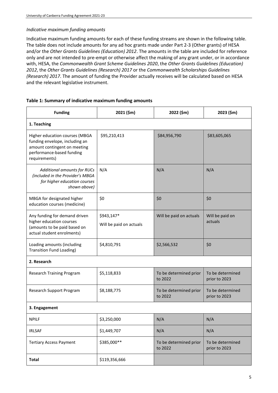### *Indicative maximum funding amounts*

Indicative maximum funding amounts for each of these funding streams are shown in the following table. The table does not include amounts for any ad hoc grants made under Part 2-3 (Other grants) of HESA and/or the *Other Grants Guidelines (Education) 2012*. The amounts in the table are included for reference only and are not intended to pre-empt or otherwise affect the making of any grant under, or in accordance with, HESA, the *Commonwealth Grant Scheme Guidelines 2020*, the *Other Grants Guidelines (Education) 2012*, the *Other Grants Guidelines (Research) 2017* or the *Commonwealth Scholarships Guidelines (Research) 2017*. The amount of funding the Provider actually receives will be calculated based on HESA and the relevant legislative instrument.

| <b>Funding</b>                                                                                                                                 | 2021 (\$m)                            | 2022 (\$m)                        | 2023 (\$m)                        |  |  |
|------------------------------------------------------------------------------------------------------------------------------------------------|---------------------------------------|-----------------------------------|-----------------------------------|--|--|
| 1. Teaching                                                                                                                                    |                                       |                                   |                                   |  |  |
| Higher education courses (MBGA<br>funding envelope, including an<br>amount contingent on meeting<br>performance-based funding<br>requirements) | \$95,210,413                          | \$84,956,790                      | \$83,605,065                      |  |  |
| Additional amounts for RUCs<br>(included in the Provider's MBGA<br>for higher education courses<br>shown above)                                | N/A                                   | N/A                               | N/A                               |  |  |
| MBGA for designated higher<br>education courses (medicine)                                                                                     | \$0                                   | \$0                               | \$0                               |  |  |
| Any funding for demand driven<br>higher education courses<br>(amounts to be paid based on<br>actual student enrolments)                        | \$943,147*<br>Will be paid on actuals | Will be paid on actuals           | Will be paid on<br>actuals        |  |  |
| Loading amounts (including<br><b>Transition Fund Loading)</b>                                                                                  | \$4,810,791                           | \$2,566,532                       | \$0                               |  |  |
| 2. Research                                                                                                                                    |                                       |                                   |                                   |  |  |
| <b>Research Training Program</b>                                                                                                               | \$5,118,833                           | To be determined prior<br>to 2022 | To be determined<br>prior to 2023 |  |  |
| Research Support Program                                                                                                                       | \$8,188,775                           | To be determined prior<br>to 2022 | To be determined<br>prior to 2023 |  |  |
| 3. Engagement                                                                                                                                  |                                       |                                   |                                   |  |  |
| <b>NPILF</b>                                                                                                                                   | \$3,250,000                           | N/A                               | N/A                               |  |  |
| <b>IRLSAF</b>                                                                                                                                  | \$1,449,707                           | N/A                               | N/A                               |  |  |
| <b>Tertiary Access Payment</b>                                                                                                                 | \$385,000**                           | To be determined prior<br>to 2022 | To be determined<br>prior to 2023 |  |  |
| <b>Total</b>                                                                                                                                   | \$119,356,666                         |                                   |                                   |  |  |

#### **Table 1: Summary of indicative maximum funding amounts**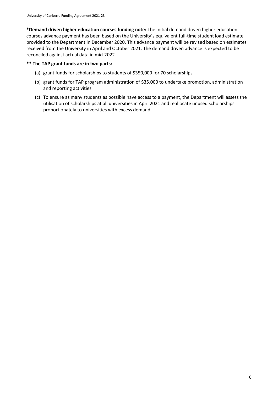**\*Demand driven higher education courses funding note:** The initial demand driven higher education courses advance payment has been based on the University's equivalent full-time student load estimate provided to the Department in December 2020. This advance payment will be revised based on estimates received from the University in April and October 2021. The demand driven advance is expected to be reconciled against actual data in mid-2022.

# **\*\* The TAP grant funds are in two parts:**

- (a) grant funds for scholarships to students of \$350,000 for 70 scholarships
- (b) grant funds for TAP program administration of \$35,000 to undertake promotion, administration and reporting activities
- (c) To ensure as many students as possible have access to a payment, the Department will assess the utilisation of scholarships at all universities in April 2021 and reallocate unused scholarships proportionately to universities with excess demand.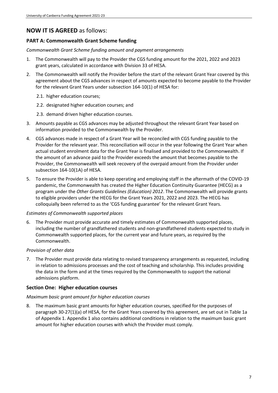# **NOW IT IS AGREED** as follows:

# **PART A: Commonwealth Grant Scheme funding**

*Commonwealth Grant Scheme funding amount and payment arrangements*

- 1. The Commonwealth will pay to the Provider the CGS funding amount for the 2021, 2022 and 2023 grant years, calculated in accordance with Division 33 of HESA.
- 2. The Commonwealth will notify the Provider before the start of the relevant Grant Year covered by this agreement about the CGS advances in respect of amounts expected to become payable to the Provider for the relevant Grant Years under subsection 164-10(1) of HESA for:
	- 2.1. higher education courses;
	- 2.2. designated higher education courses; and
	- 2.3. demand driven higher education courses.
- 3. Amounts payable as CGS advances may be adjusted throughout the relevant Grant Year based on information provided to the Commonwealth by the Provider.
- 4. CGS advances made in respect of a Grant Year will be reconciled with CGS funding payable to the Provider for the relevant year. This reconciliation will occur in the year following the Grant Year when actual student enrolment data for the Grant Year is finalised and provided to the Commonwealth. If the amount of an advance paid to the Provider exceeds the amount that becomes payable to the Provider, the Commonwealth will seek recovery of the overpaid amount from the Provider under subsection 164-10(1A) of HESA.
- 5. To ensure the Provider is able to keep operating and employing staff in the aftermath of the COVID-19 pandemic, the Commonwealth has created the Higher Education Continuity Guarantee (HECG) as a program under the *Other Grants Guidelines (Education) 2012*. The Commonwealth will provide grants to eligible providers under the HECG for the Grant Years 2021, 2022 and 2023. The HECG has colloquially been referred to as the 'CGS funding guarantee' for the relevant Grant Years.

### *Estimates of Commonwealth supported places*

6. The Provider must provide accurate and timely estimates of Commonwealth supported places, including the number of grandfathered students and non-grandfathered students expected to study in Commonwealth supported places, for the current year and future years, as required by the Commonwealth.

### *Provision of other data*

7. The Provider must provide data relating to revised transparency arrangements as requested, including in relation to admissions processes and the cost of teaching and scholarship. This includes providing the data in the form and at the times required by the Commonwealth to support the national admissions platform.

### **Section One: Higher education courses**

#### *Maximum basic grant amount for higher education courses*

8. The maximum basic grant amounts for higher education courses, specified for the purposes of paragraph 30-27(1)(a) of HESA, for the Grant Years covered by this agreement, are set out in Table 1a of Appendix 1. Appendix 1 also contains additional conditions in relation to the maximum basic grant amount for higher education courses with which the Provider must comply.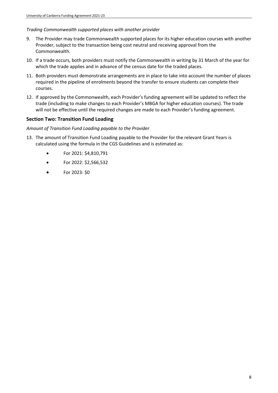#### *Trading Commonwealth supported places with another provider*

- 9. The Provider may trade Commonwealth supported places for its higher education courses with another Provider, subject to the transaction being cost neutral and receiving approval from the Commonwealth.
- 10. If a trade occurs, both providers must notify the Commonwealth in writing by 31 March of the year for which the trade applies and in advance of the census date for the traded places.
- 11. Both providers must demonstrate arrangements are in place to take into account the number of places required in the pipeline of enrolments beyond the transfer to ensure students can complete their courses.
- 12. If approved by the Commonwealth, each Provider's funding agreement will be updated to reflect the trade (including to make changes to each Provider's MBGA for higher education courses). The trade will not be effective until the required changes are made to each Provider's funding agreement.

### **Section Two: Transition Fund Loading**

#### *Amount of Transition Fund Loading payable to the Provider*

- 13. The amount of Transition Fund Loading payable to the Provider for the relevant Grant Years is calculated using the formula in the CGS Guidelines and is estimated as:
	- For 2021: \$4,810,791
	- For 2022: \$2,566,532
	- For 2023: \$0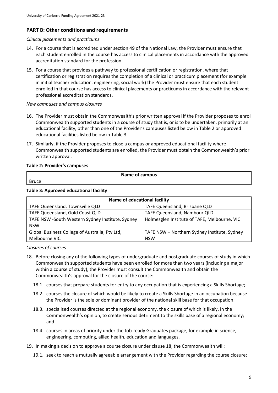# **PART B: Other conditions and requirements**

#### *Clinical placements and practicums*

- 14. For a course that is accredited under section 49 of the National Law, the Provider must ensure that each student enrolled in the course has access to clinical placements in accordance with the approved accreditation standard for the profession.
- 15. For a course that provides a pathway to professional certification or registration, where that certification or registration requires the completion of a clinical or practicum placement (for example in initial teacher education, engineering, social work) the Provider must ensure that each student enrolled in that course has access to clinical placements or practicums in accordance with the relevant professional accreditation standards.

### *New campuses and campus closures*

- 16. The Provider must obtain the Commonwealth's prior written approval if the Provider proposes to enrol Commonwealth supported students in a course of study that is, or is to be undertaken, primarily at an educational facility, other than one of the Provider's campuses listed below in Table 2 or approved educational facilities listed below in Table 3.
- 17. Similarly, if the Provider proposes to close a campus or approved educational facility where Commonwealth supported students are enrolled, the Provider must obtain the Commonwealth's prior written approval.

#### **Table 2: Provider's campuses**

| Name of campus |  |
|----------------|--|
| Rruc∈          |  |

#### **Table 3: Approved educational facility**

| Name of educational facility                     |                                              |  |  |
|--------------------------------------------------|----------------------------------------------|--|--|
| TAFE Queensland, Townsville QLD                  | TAFE Queensland, Brisbane QLD                |  |  |
| TAFE Queensland, Gold Coast QLD                  | TAFE Queensland, Nambour QLD                 |  |  |
| TAFE NSW -South Western Sydney Institute, Sydney | Holmesglen Institute of TAFE, Melbourne, VIC |  |  |
| <b>NSW</b>                                       |                                              |  |  |
| Global Business College of Australia, Pty Ltd,   | TAFE NSW - Northern Sydney Institute, Sydney |  |  |
| Melbourne VIC                                    | <b>NSW</b>                                   |  |  |

*Closures of courses*

- 18. Before closing any of the following types of undergraduate and postgraduate courses of study in which Commonwealth supported students have been enrolled for more than two years (including a major within a course of study), the Provider must consult the Commonwealth and obtain the Commonwealth's approval for the closure of the course:
	- 18.1. courses that prepare students for entry to any occupation that is experiencing a Skills Shortage;
	- 18.2. courses the closure of which would be likely to create a Skills Shortage in an occupation because the Provider is the sole or dominant provider of the national skill base for that occupation;
	- 18.3. specialised courses directed at the regional economy, the closure of which is likely, in the Commonwealth's opinion, to create serious detriment to the skills base of a regional economy; and
	- 18.4. courses in areas of priority under the Job-ready Graduates package, for example in science, engineering, computing, allied health, education and languages.
- 19. In making a decision to approve a course closure under clause 18, the Commonwealth will:
	- 19.1. seek to reach a mutually agreeable arrangement with the Provider regarding the course closure;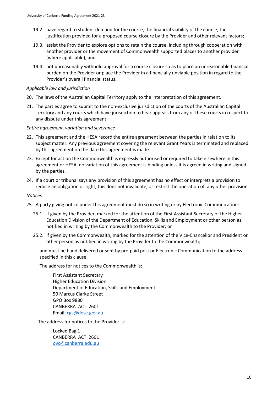- 19.2. have regard to student demand for the course, the financial viability of the course, the justification provided for a proposed course closure by the Provider and other relevant factors;
- 19.3. assist the Provider to explore options to retain the course, including through cooperation with another provider or the movement of Commonwealth supported places to another provider (where applicable); and
- 19.4. not unreasonably withhold approval for a course closure so as to place an unreasonable financial burden on the Provider or place the Provider in a financially unviable position in regard to the Provider's overall financial status.

#### *Applicable law and jurisdiction*

- 20. The laws of the Australian Capital Territory apply to the interpretation of this agreement.
- 21. The parties agree to submit to the non-exclusive jurisdiction of the courts of the Australian Capital Territory and any courts which have jurisdiction to hear appeals from any of these courts in respect to any dispute under this agreement.

#### *Entire agreement, variation and severance*

- 22. This agreement and the HESA record the entire agreement between the parties in relation to its subject matter. Any previous agreement covering the relevant Grant Years is terminated and replaced by this agreement on the date this agreement is made.
- 23. Except for action the Commonwealth is expressly authorised or required to take elsewhere in this agreement or HESA, no variation of this agreement is binding unless it is agreed in writing and signed by the parties.
- 24. If a court or tribunal says any provision of this agreement has no effect or interprets a provision to reduce an obligation or right, this does not invalidate, or restrict the operation of, any other provision.

#### *Notices*

- 25. A party giving notice under this agreement must do so in writing or by Electronic Communication:
	- 25.1. if given by the Provider, marked for the attention of the First Assistant Secretary of the Higher Education Division of the Department of Education, Skills and Employment or other person as notified in writing by the Commonwealth to the Provider; or
	- 25.2. if given by the Commonwealth, marked for the attention of the Vice-Chancellor and President or other person as notified in writing by the Provider to the Commonwealth;

and must be hand delivered or sent by pre-paid post or Electronic Communication to the address specified in this clause.

The address for notices to the Commonwealth is:

First Assistant Secretary Higher Education Division Department of Education, Skills and Employment 50 Marcus Clarke Street GPO Box 9880 CANBERRA ACT 2601 Email: [cgs@dese.gov.au](mailto:cgs@dese.gov.au)

The address for notices to the Provider is:

Locked Bag 1 CANBERRA ACT 2601 [ovc@canberra.edu.au](mailto:ovc@canberra.edu.au)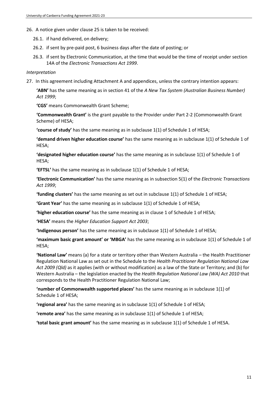- 26. A notice given under clause 25 is taken to be received:
	- 26.1. if hand delivered, on delivery;
	- 26.2. if sent by pre-paid post, 6 business days after the date of posting; or
	- 26.3. if sent by Electronic Communication, at the time that would be the time of receipt under section 14A of the *Electronic Transactions Act 1999*.

#### *Interpretation*

27. In this agreement including Attachment A and appendices, unless the contrary intention appears:

**'ABN'** has the same meaning as in section 41 of the *A New Tax System (Australian Business Number) Act 1999*;

**'CGS'** means Commonwealth Grant Scheme;

**'Commonwealth Grant'** is the grant payable to the Provider under Part 2-2 (Commonwealth Grant Scheme) of HESA;

**'course of study'** has the same meaning as in subclause 1(1) of Schedule 1 of HESA;

**'demand driven higher education course'** has the same meaning as in subclause 1(1) of Schedule 1 of HESA;

**'designated higher education course'** has the same meaning as in subclause 1(1) of Schedule 1 of HESA;

**'EFTSL'** has the same meaning as in subclause 1(1) of Schedule 1 of HESA;

**'Electronic Communication'** has the same meaning as in subsection 5(1) of the *Electronic Transactions Act 1999*;

**'funding clusters'** has the same meaning as set out in subclause 1(1) of Schedule 1 of HESA;

**'Grant Year'** has the same meaning as in subclause 1(1) of Schedule 1 of HESA;

**'higher education course'** has the same meaning as in clause 1 of Schedule 1 of HESA;

**'HESA'** means the *Higher Education Support Act 2003*;

**'Indigenous person'** has the same meaning as in subclause 1(1) of Schedule 1 of HESA;

**'maximum basic grant amount' or 'MBGA'** has the same meaning as in subclause 1(1) of Schedule 1 of HESA;

**'National Law'** means (a) for a state or territory other than Western Australia – the Health Practitioner Regulation National Law as set out in the Schedule to the *Health Practitioner Regulation National Law Act 2009 (Qld)* as it applies (with or without modification) as a law of the State or Territory; and (b) for Western Australia – the legislation enacted by the *Health Regulation National Law (WA) Act 2010* that corresponds to the Health Practitioner Regulation National Law;

**'number of Commonwealth supported places'** has the same meaning as in subclause 1(1) of Schedule 1 of HESA;

**'regional area'** has the same meaning as in subclause 1(1) of Schedule 1 of HESA;

**'remote area'** has the same meaning as in subclause 1(1) of Schedule 1 of HESA;

**'total basic grant amount'** has the same meaning as in subclause 1(1) of Schedule 1 of HESA.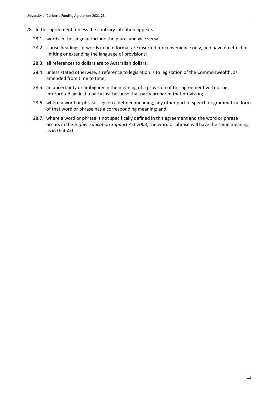- 28. In this agreement, unless the contrary intention appears:
	- 28.1. words in the singular include the plural and vice versa;
	- 28.2. clause headings or words in bold format are inserted for convenience only, and have no effect in limiting or extending the language of provisions;
	- 28.3. all references to dollars are to Australian dollars;
	- 28.4. unless stated otherwise, a reference to legislation is to legislation of the Commonwealth, as amended from time to time;
	- 28.5. an uncertainty or ambiguity in the meaning of a provision of this agreement will not be interpreted against a party just because that party prepared that provision;
	- 28.6. where a word or phrase is given a defined meaning, any other part of speech or grammatical form of that word or phrase has a corresponding meaning; and
	- 28.7. where a word or phrase is not specifically defined in this agreement and the word or phrase occurs in the *Higher Education Support Act 2003*, the word or phrase will have the same meaning as in that Act.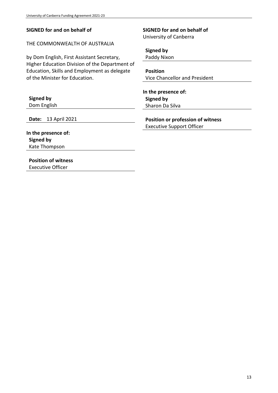### **SIGNED for and on behalf of**

THE COMMONWEALTH OF AUSTRALIA

by Dom English, First Assistant Secretary, Higher Education Division of the Department of Education, Skills and Employment as delegate of the Minister for Education.

#### **Signed by**

Dom English

**Date:** 13 April 2021

**In the presence of: Signed by**  Kate Thompson

**Position of witness**  Executive Officer

**SIGNED for and on behalf of**

University of Canberra

**Signed by** 

Paddy Nixon

**Position**  Vice Chancellor and President

**In the presence of: Signed by**  Sharon Da Silva

**Position or profession of witness**  Executive Support Officer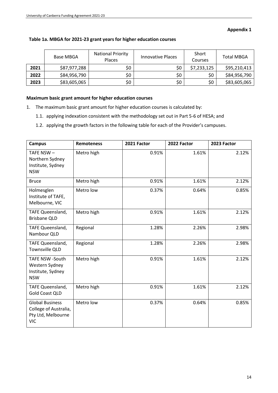### **Appendix 1**

|      | Base MBGA    | <b>National Priority</b><br>Places | Innovative Places | Short<br>Courses | <b>Total MBGA</b> |
|------|--------------|------------------------------------|-------------------|------------------|-------------------|
| 2021 | \$87,977,288 | \$0                                | \$0               | \$7,233,125      | \$95,210,413      |
| 2022 | \$84,956,790 | \$0                                | \$0               | \$0              | \$84,956,790      |
| 2023 | \$83,605,065 | \$0                                | \$0               | \$0              | \$83,605,065      |

### **Maximum basic grant amount for higher education courses**

- 1. The maximum basic grant amount for higher education courses is calculated by:
	- 1.1. applying indexation consistent with the methodology set out in Part 5-6 of HESA; and
	- 1.2. applying the growth factors in the following table for each of the Provider's campuses.

| <b>Campus</b>                                                                       | <b>Remoteness</b> | 2021 Factor | 2022 Factor | 2023 Factor |
|-------------------------------------------------------------------------------------|-------------------|-------------|-------------|-------------|
| TAFE NSW-<br>Northern Sydney<br>Institute, Sydney<br><b>NSW</b>                     | Metro high        | 0.91%       | 1.61%       | 2.12%       |
| <b>Bruce</b>                                                                        | Metro high        | 0.91%       | 1.61%       | 2.12%       |
| Holmesglen<br>Institute of TAFE,<br>Melbourne, VIC                                  | Metro low         | 0.37%       | 0.64%       | 0.85%       |
| TAFE Queensland,<br><b>Brisbane QLD</b>                                             | Metro high        | 0.91%       | 1.61%       | 2.12%       |
| TAFE Queensland,<br>Nambour QLD                                                     | Regional          | 1.28%       | 2.26%       | 2.98%       |
| TAFE Queensland,<br>Townsville QLD                                                  | Regional          | 1.28%       | 2.26%       | 2.98%       |
| <b>TAFE NSW -South</b><br>Western Sydney<br>Institute, Sydney<br><b>NSW</b>         | Metro high        | 0.91%       | 1.61%       | 2.12%       |
| TAFE Queensland,<br><b>Gold Coast QLD</b>                                           | Metro high        | 0.91%       | 1.61%       | 2.12%       |
| <b>Global Business</b><br>College of Australia,<br>Pty Ltd, Melbourne<br><b>VIC</b> | Metro low         | 0.37%       | 0.64%       | 0.85%       |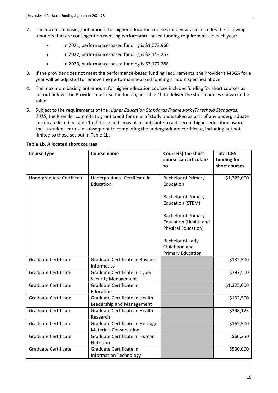- 2. The maximum basic grant amount for higher education courses for a year also includes the following amounts that are contingent on meeting performance-based funding requirements in each year:
	- In 2021, performance-based funding is \$1,073,960
	- In 2022, performance-based funding is \$2,143,267
	- In 2023, performance-based funding is \$3,177,288
- 3. If the provider does not meet the performance-based funding requirements, the Provider's MBGA for a year will be adjusted to remove the performance-based funding amount specified above.
- 4. The maximum basic grant amount for higher education courses includes funding for short courses as set out below. The Provider must use the funding in Table 1b to deliver the short courses shown in the table.
- 5. Subject to the requirements of the *Higher Education Standards Framework (Threshold Standards) 2015*, the Provider commits to grant credit for units of study undertaken as part of any undergraduate certificate listed in Table 1b if those units may also contribute to a different higher education award that a student enrols in subsequent to completing the undergraduate certificate, including but not limited to those set out in Table 1b.

| Course type                 | Course name                                                       | Course(s) the short<br>course can articulate<br>to                                                                                                                                                                                                                    | <b>Total CGS</b><br>funding for<br>short courses |
|-----------------------------|-------------------------------------------------------------------|-----------------------------------------------------------------------------------------------------------------------------------------------------------------------------------------------------------------------------------------------------------------------|--------------------------------------------------|
| Undergraduate Certificate   | Undergraduate Certificate in<br>Education                         | <b>Bachelor of Primary</b><br>Education<br><b>Bachelor of Primary</b><br><b>Education (STEM)</b><br><b>Bachelor of Primary</b><br><b>Education (Health and</b><br><b>Physical Education)</b><br><b>Bachelor of Early</b><br>Childhood and<br><b>Primary Education</b> | \$1,325,000                                      |
| <b>Graduate Certificate</b> | Graduate Certificate in Business<br>Informatics                   |                                                                                                                                                                                                                                                                       | \$132,500                                        |
| <b>Graduate Certificate</b> | Graduate Certificate in Cyber<br><b>Security Management</b>       |                                                                                                                                                                                                                                                                       | \$397,500                                        |
| <b>Graduate Certificate</b> | Graduate Certificate in<br>Education                              |                                                                                                                                                                                                                                                                       | \$1,325,000                                      |
| <b>Graduate Certificate</b> | Graduate Certificate in Health<br>Leadership and Management       |                                                                                                                                                                                                                                                                       | \$132,500                                        |
| <b>Graduate Certificate</b> | Graduate Certificate in Health<br>Research                        |                                                                                                                                                                                                                                                                       | \$298,125                                        |
| <b>Graduate Certificate</b> | Graduate Certificate in Heritage<br><b>Materials Conservation</b> |                                                                                                                                                                                                                                                                       | \$162,500                                        |
| <b>Graduate Certificate</b> | Graduate Certificate in Human<br>Nutrition                        |                                                                                                                                                                                                                                                                       | \$66,250                                         |
| <b>Graduate Certificate</b> | Graduate Certificate in<br><b>Information Technology</b>          |                                                                                                                                                                                                                                                                       | \$530,000                                        |

#### **Table 1b. Allocated short courses**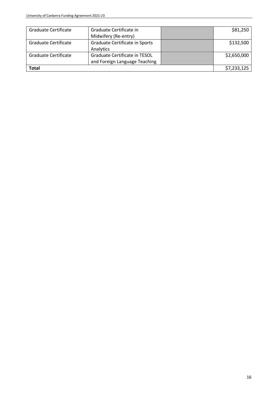| Graduate Certificate | Graduate Certificate in        | \$81,250    |
|----------------------|--------------------------------|-------------|
|                      | Midwifery (Re-entry)           |             |
| Graduate Certificate | Graduate Certificate in Sports | \$132,500   |
|                      | Analytics                      |             |
| Graduate Certificate | Graduate Certificate in TESOL  | \$2,650,000 |
|                      | and Foreign Language Teaching  |             |
| Total                |                                | \$7,233,125 |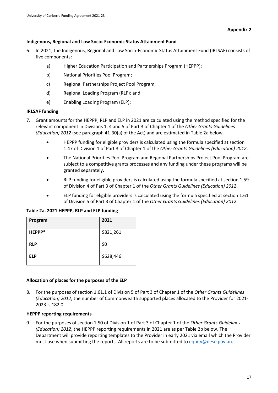#### **Appendix 2**

# **Indigenous, Regional and Low Socio-Economic Status Attainment Fund**

- 6. In 2021, the Indigenous, Regional and Low Socio-Economic Status Attainment Fund (IRLSAF) consists of five components:
	- a) Higher Education Participation and Partnerships Program (HEPPP);
	- b) National Priorities Pool Program;
	- c) Regional Partnerships Project Pool Program;
	- d) Regional Loading Program (RLP); and
	- e) Enabling Loading Program (ELP);

# **IRLSAF funding**

- 7. Grant amounts for the HEPPP, RLP and ELP in 2021 are calculated using the method specified for the relevant component in Divisions 1, 4 and 5 of Part 3 of Chapter 1 of the *Other Grants Guidelines (Education) 2012* (see paragraph 41-30(a) of the Act) and are estimated in Table 2a below.
	- HEPPP funding for eligible providers is calculated using the formula specified at section 1.47 of Division 1 of Part 3 of Chapter 1 of the *Other Grants Guidelines (Education) 2012*.
	- The National Priorities Pool Program and Regional Partnerships Project Pool Program are subject to a competitive grants processes and any funding under these programs will be granted separately.
	- RLP funding for eligible providers is calculated using the formula specified at section 1.59 of Division 4 of Part 3 of Chapter 1 of the *Other Grants Guidelines (Education) 2012*.
	- ELP funding for eligible providers is calculated using the formula specified at section 1.61 of Division 5 of Part 3 of Chapter 1 of the *Other Grants Guidelines (Education) 2012*.

**Table 2a. 2021 HEPPP, RLP and ELP funding**

| Program    | 2021      |
|------------|-----------|
| HEPPP*     | \$821,261 |
| <b>RLP</b> | \$0       |
| <b>ELP</b> | \$628,446 |

### **Allocation of places for the purposes of the ELP**

8. For the purposes of section 1.61.1 of Division 5 of Part 3 of Chapter 1 of the *Other Grants Guidelines (Education) 2012*, the number of Commonwealth supported places allocated to the Provider for 2021- 2023 is 182.0.

### **HEPPP reporting requirements**

9. For the purposes of section 1.50 of Division 1 of Part 3 of Chapter 1 of the *Other Grants Guidelines (Education) 2012*, the HEPPP reporting requirements in 2021 are as per Table 2b below. The Department will provide reporting templates to the Provider in early 2021 via email which the Provider must use when submitting the reports. All reports are to be submitted to [equity@dese.gov.au.](mailto:equity@dese.gov.au)